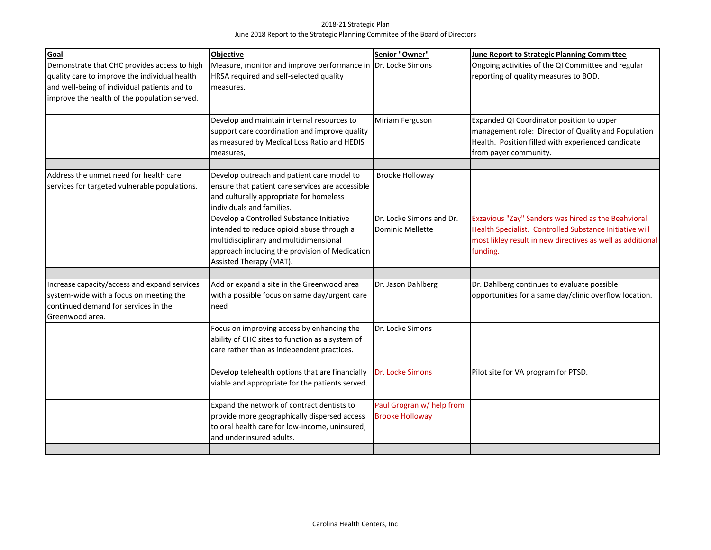## 2018-21 Strategic Plan June 2018 Report to the Strategic Planning Commitee of the Board of Directors

| Goal                                                                                                                                                                                          | <b>Objective</b>                                                                                                                                                                                              | Senior "Owner"                                      | <b>June Report to Strategic Planning Committee</b>                                                                                                                                       |
|-----------------------------------------------------------------------------------------------------------------------------------------------------------------------------------------------|---------------------------------------------------------------------------------------------------------------------------------------------------------------------------------------------------------------|-----------------------------------------------------|------------------------------------------------------------------------------------------------------------------------------------------------------------------------------------------|
| Demonstrate that CHC provides access to high<br>quality care to improve the individual health<br>and well-being of individual patients and to<br>improve the health of the population served. | Measure, monitor and improve performance in Dr. Locke Simons<br>HRSA required and self-selected quality<br>measures.                                                                                          |                                                     | Ongoing activities of the QI Committee and regular<br>reporting of quality measures to BOD.                                                                                              |
|                                                                                                                                                                                               | Develop and maintain internal resources to<br>support care coordination and improve quality<br>as measured by Medical Loss Ratio and HEDIS<br>measures,                                                       | Miriam Ferguson                                     | Expanded QI Coordinator position to upper<br>management role: Director of Quality and Population<br>Health. Position filled with experienced candidate<br>from payer community.          |
| Address the unmet need for health care<br>services for targeted vulnerable populations.                                                                                                       | Develop outreach and patient care model to<br>ensure that patient care services are accessible<br>and culturally appropriate for homeless<br>lindividuals and families.                                       | <b>Brooke Holloway</b>                              |                                                                                                                                                                                          |
|                                                                                                                                                                                               | Develop a Controlled Substance Initiative<br>intended to reduce opioid abuse through a<br>multidisciplinary and multidimensional<br>approach including the provision of Medication<br>Assisted Therapy (MAT). | Dr. Locke Simons and Dr.<br>Dominic Mellette        | Exzavious "Zay" Sanders was hired as the Beahvioral<br>Health Specialist. Controlled Substance Initiative will<br>most likley result in new directives as well as additional<br>funding. |
| Increase capacity/access and expand services<br>system-wide with a focus on meeting the<br>continued demand for services in the<br>Greenwood area.                                            | Add or expand a site in the Greenwood area<br>with a possible focus on same day/urgent care<br>need                                                                                                           | Dr. Jason Dahlberg                                  | Dr. Dahlberg continues to evaluate possible<br>opportunities for a same day/clinic overflow location.                                                                                    |
|                                                                                                                                                                                               | Focus on improving access by enhancing the<br>ability of CHC sites to function as a system of<br>care rather than as independent practices.                                                                   | Dr. Locke Simons                                    |                                                                                                                                                                                          |
|                                                                                                                                                                                               | Develop telehealth options that are financially<br>viable and appropriate for the patients served.                                                                                                            | Dr. Locke Simons                                    | Pilot site for VA program for PTSD.                                                                                                                                                      |
|                                                                                                                                                                                               | Expand the network of contract dentists to<br>provide more geographically dispersed access<br>to oral health care for low-income, uninsured,<br>and underinsured adults.                                      | Paul Grogran w/ help from<br><b>Brooke Holloway</b> |                                                                                                                                                                                          |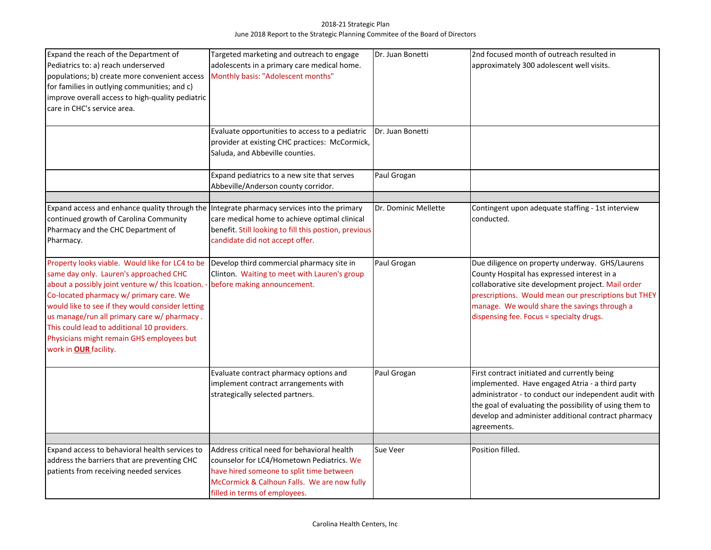## 2018-21 Strategic Plan June 2018 Report to the Strategic Planning Commitee of the Board of Directors

| Expand the reach of the Department of<br>Pediatrics to: a) reach underserved<br>populations; b) create more convenient access<br>for families in outlying communities; and c)<br>improve overall access to high-quality pediatric<br>care in CHC's service area.                                                                                                                                                          | Targeted marketing and outreach to engage<br>adolescents in a primary care medical home.<br>Monthly basis: "Adolescent months"<br>Evaluate opportunities to access to a pediatric                                    | Dr. Juan Bonetti<br>Dr. Juan Bonetti | 2nd focused month of outreach resulted in<br>approximately 300 adolescent well visits.                                                                                                                                                                                                                   |
|---------------------------------------------------------------------------------------------------------------------------------------------------------------------------------------------------------------------------------------------------------------------------------------------------------------------------------------------------------------------------------------------------------------------------|----------------------------------------------------------------------------------------------------------------------------------------------------------------------------------------------------------------------|--------------------------------------|----------------------------------------------------------------------------------------------------------------------------------------------------------------------------------------------------------------------------------------------------------------------------------------------------------|
|                                                                                                                                                                                                                                                                                                                                                                                                                           | provider at existing CHC practices: McCormick,<br>Saluda, and Abbeville counties.<br>Expand pediatrics to a new site that serves                                                                                     | Paul Grogan                          |                                                                                                                                                                                                                                                                                                          |
|                                                                                                                                                                                                                                                                                                                                                                                                                           | Abbeville/Anderson county corridor.                                                                                                                                                                                  |                                      |                                                                                                                                                                                                                                                                                                          |
| Expand access and enhance quality through the<br>continued growth of Carolina Community<br>Pharmacy and the CHC Department of<br>Pharmacy.                                                                                                                                                                                                                                                                                | Integrate pharmacy services into the primary<br>care medical home to achieve optimal clinical<br>benefit. Still looking to fill this postion, previous<br>candidate did not accept offer.                            | Dr. Dominic Mellette                 | Contingent upon adequate staffing - 1st interview<br>conducted.                                                                                                                                                                                                                                          |
| Property looks viable. Would like for LC4 to be<br>same day only. Lauren's approached CHC<br>about a possibly joint venture w/ this lcoation. -<br>Co-located pharmacy w/ primary care. We<br>would like to see if they would consider letting<br>us manage/run all primary care w/ pharmacy.<br>This could lead to additional 10 providers.<br>Physicians might remain GHS employees but<br>work in <b>OUR</b> facility. | Develop third commercial pharmacy site in<br>Clinton. Waiting to meet with Lauren's group<br>before making announcement.                                                                                             | Paul Grogan                          | Due diligence on property underway. GHS/Laurens<br>County Hospital has expressed interest in a<br>collaborative site development project. Mail order<br>prescriptions. Would mean our prescriptions but THEY<br>manage. We would share the savings through a<br>dispensing fee. Focus = specialty drugs. |
|                                                                                                                                                                                                                                                                                                                                                                                                                           | Evaluate contract pharmacy options and<br>implement contract arrangements with<br>strategically selected partners.                                                                                                   | Paul Grogan                          | First contract initiated and currently being<br>implemented. Have engaged Atria - a third party<br>administrator - to conduct our independent audit with<br>the goal of evaluating the possibility of using them to<br>develop and administer additional contract pharmacy<br>agreements.                |
| Expand access to behavioral health services to<br>address the barriers that are preventing CHC<br>patients from receiving needed services                                                                                                                                                                                                                                                                                 | Address critical need for behavioral health<br>counselor for LC4/Hometown Pediatrics. We<br>have hired someone to split time between<br>McCormick & Calhoun Falls. We are now fully<br>filled in terms of employees. | Sue Veer                             | Position filled.                                                                                                                                                                                                                                                                                         |